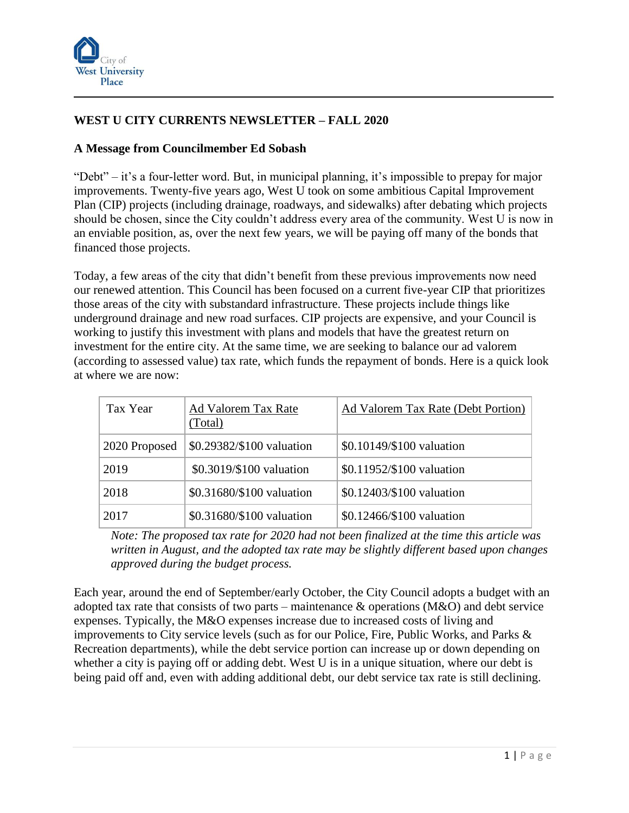

## **WEST U CITY CURRENTS NEWSLETTER – FALL 2020**

## **A Message from Councilmember Ed Sobash**

"Debt" – it's a four-letter word. But, in municipal planning, it's impossible to prepay for major improvements. Twenty-five years ago, West U took on some ambitious Capital Improvement Plan (CIP) projects (including drainage, roadways, and sidewalks) after debating which projects should be chosen, since the City couldn't address every area of the community. West U is now in an enviable position, as, over the next few years, we will be paying off many of the bonds that financed those projects.

Today, a few areas of the city that didn't benefit from these previous improvements now need our renewed attention. This Council has been focused on a current five-year CIP that prioritizes those areas of the city with substandard infrastructure. These projects include things like underground drainage and new road surfaces. CIP projects are expensive, and your Council is working to justify this investment with plans and models that have the greatest return on investment for the entire city. At the same time, we are seeking to balance our ad valorem (according to assessed value) tax rate, which funds the repayment of bonds. Here is a quick look at where we are now:

| Tax Year      | Ad Valorem Tax Rate<br>(Total) | Ad Valorem Tax Rate (Debt Portion) |
|---------------|--------------------------------|------------------------------------|
| 2020 Proposed | \$0.29382/\$100 valuation      | \$0.10149/\$100 valuation          |
| 2019          | \$0.3019/\$100 valuation       | \$0.11952/\$100 valuation          |
| 2018          | \$0.31680/\$100 valuation      | \$0.12403/\$100 valuation          |
| 2017          | \$0.31680/\$100 valuation      | \$0.12466/\$100 valuation          |

*Note: The proposed tax rate for 2020 had not been finalized at the time this article was written in August, and the adopted tax rate may be slightly different based upon changes approved during the budget process.*

Each year, around the end of September/early October, the City Council adopts a budget with an adopted tax rate that consists of two parts – maintenance & operations (M&O) and debt service expenses. Typically, the M&O expenses increase due to increased costs of living and improvements to City service levels (such as for our Police, Fire, Public Works, and Parks & Recreation departments), while the debt service portion can increase up or down depending on whether a city is paying off or adding debt. West U is in a unique situation, where our debt is being paid off and, even with adding additional debt, our debt service tax rate is still declining.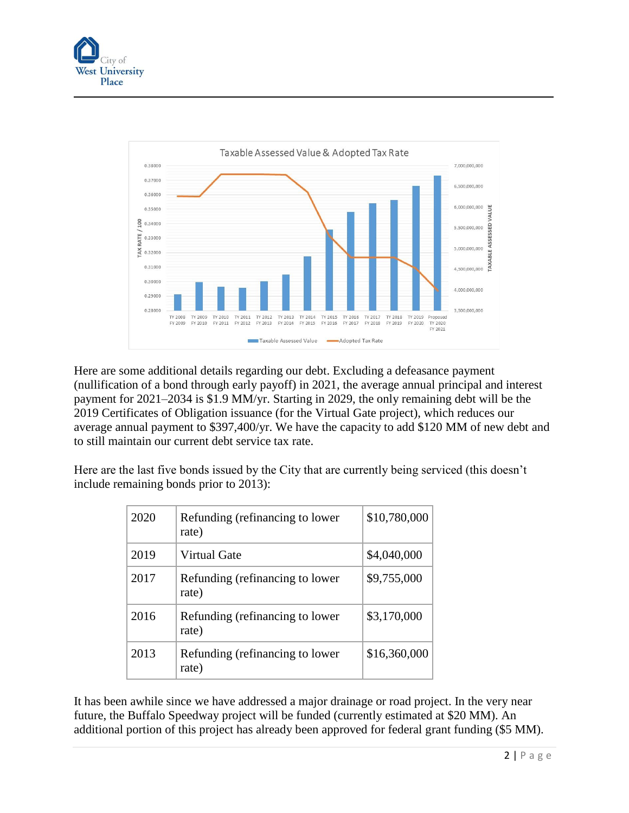

Here are some additional details regarding our debt. Excluding a defeasance payment (nullification of a bond through early payoff) in 2021, the average annual principal and interest payment for 2021–2034 is \$1.9 MM/yr. Starting in 2029, the only remaining debt will be the 2019 Certificates of Obligation issuance (for the Virtual Gate project), which reduces our average annual payment to \$397,400/yr. We have the capacity to add \$120 MM of new debt and to still maintain our current debt service tax rate.

Here are the last five bonds issued by the City that are currently being serviced (this doesn't include remaining bonds prior to 2013):

| 2020 | Refunding (refinancing to lower<br>rate) | \$10,780,000 |
|------|------------------------------------------|--------------|
| 2019 | Virtual Gate                             | \$4,040,000  |
| 2017 | Refunding (refinancing to lower<br>rate) | \$9,755,000  |
| 2016 | Refunding (refinancing to lower<br>rate) | \$3,170,000  |
| 2013 | Refunding (refinancing to lower<br>rate) | \$16,360,000 |

It has been awhile since we have addressed a major drainage or road project. In the very near future, the Buffalo Speedway project will be funded (currently estimated at \$20 MM). An additional portion of this project has already been approved for federal grant funding (\$5 MM).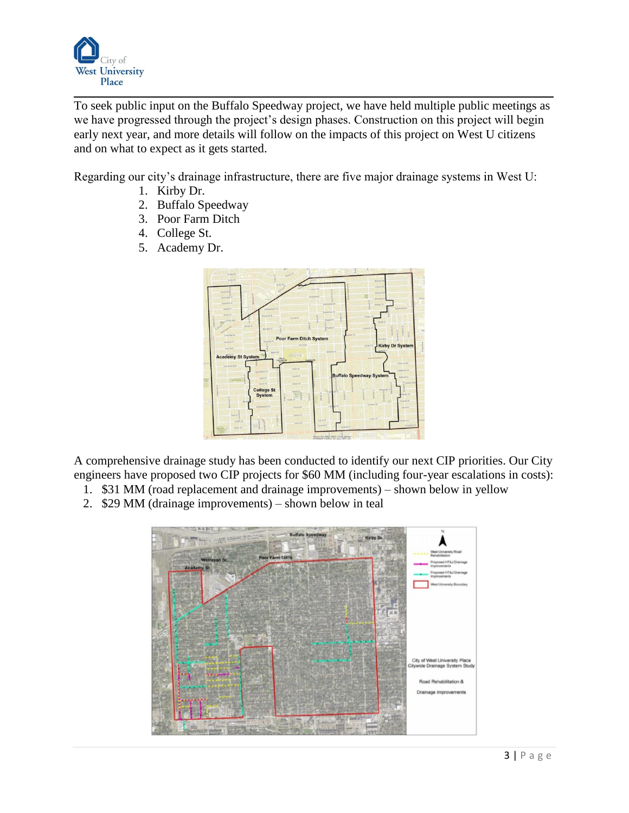

To seek public input on the Buffalo Speedway project, we have held multiple public meetings as we have progressed through the project's design phases. Construction on this project will begin early next year, and more details will follow on the impacts of this project on West U citizens and on what to expect as it gets started.

Regarding our city's drainage infrastructure, there are five major drainage systems in West U:

- 1. Kirby Dr.
- 2. Buffalo Speedway
- 3. Poor Farm Ditch
- 4. College St.
- 5. Academy Dr.



A comprehensive drainage study has been conducted to identify our next CIP priorities. Our City engineers have proposed two CIP projects for \$60 MM (including four-year escalations in costs):

- 1. \$31 MM (road replacement and drainage improvements) shown below in yellow
- 2. \$29 MM (drainage improvements) shown below in teal